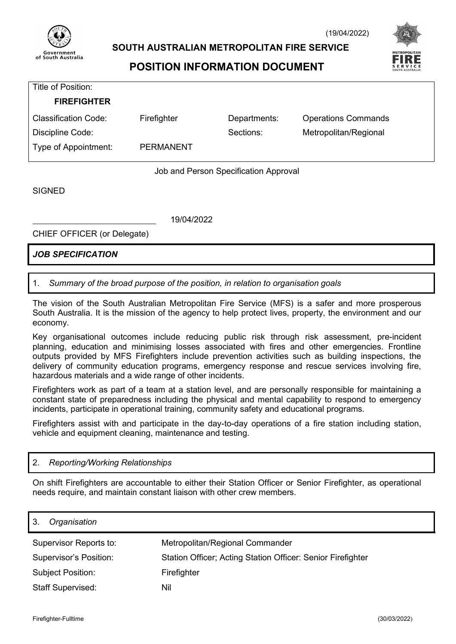

(19/04/2022)

# **SOUTH AUSTRALIAN METROPOLITAN FIRE SERVICE**

# **POSITION INFORMATION DOCUMENT**



19/04/2022

CHIEF OFFICER (or Delegate)

*JOB SPECIFICATION*

# 1. *Summary of the broad purpose of the position, in relation to organisation goals*

The vision of the South Australian Metropolitan Fire Service (MFS) is a safer and more prosperous South Australia. It is the mission of the agency to help protect lives, property, the environment and our economy.

Key organisational outcomes include reducing public risk through risk assessment, pre-incident planning, education and minimising losses associated with fires and other emergencies. Frontline outputs provided by MFS Firefighters include prevention activities such as building inspections, the delivery of community education programs, emergency response and rescue services involving fire, hazardous materials and a wide range of other incidents.

Firefighters work as part of a team at a station level, and are personally responsible for maintaining a constant state of preparedness including the physical and mental capability to respond to emergency incidents, participate in operational training, community safety and educational programs.

Firefighters assist with and participate in the day-to-day operations of a fire station including station, vehicle and equipment cleaning, maintenance and testing.

# 2. *Reporting/Working Relationships*

On shift Firefighters are accountable to either their Station Officer or Senior Firefighter, as operational needs require, and maintain constant liaison with other crew members.

| 3.<br>Organisation            |                                                             |
|-------------------------------|-------------------------------------------------------------|
| Supervisor Reports to:        | Metropolitan/Regional Commander                             |
| <b>Supervisor's Position:</b> | Station Officer; Acting Station Officer: Senior Firefighter |
| Subject Position:             | Firefighter                                                 |
| <b>Staff Supervised:</b>      | Nil                                                         |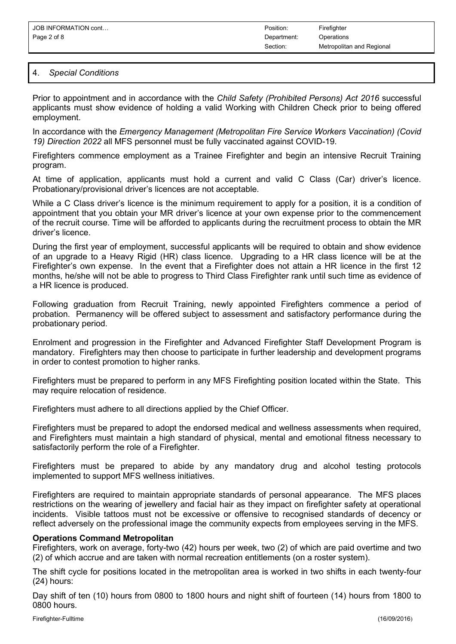# 4. *Special Conditions*

Prior to appointment and in accordance with the *Child Safety (Prohibited Persons) Act 2016* successful applicants must show evidence of holding a valid Working with Children Check prior to being offered employment.

In accordance with the *Emergency Management (Metropolitan Fire Service Workers Vaccination) (Covid 19) Direction 2022* all MFS personnel must be fully vaccinated against COVID-19.

Firefighters commence employment as a Trainee Firefighter and begin an intensive Recruit Training program.

At time of application, applicants must hold a current and valid C Class (Car) driver's licence. Probationary/provisional driver's licences are not acceptable.

While a C Class driver's licence is the minimum requirement to apply for a position, it is a condition of appointment that you obtain your MR driver's licence at your own expense prior to the commencement of the recruit course. Time will be afforded to applicants during the recruitment process to obtain the MR driver's licence.

During the first year of employment, successful applicants will be required to obtain and show evidence of an upgrade to a Heavy Rigid (HR) class licence. Upgrading to a HR class licence will be at the Firefighter's own expense. In the event that a Firefighter does not attain a HR licence in the first 12 months, he/she will not be able to progress to Third Class Firefighter rank until such time as evidence of a HR licence is produced.

Following graduation from Recruit Training, newly appointed Firefighters commence a period of probation. Permanency will be offered subject to assessment and satisfactory performance during the probationary period.

Enrolment and progression in the Firefighter and Advanced Firefighter Staff Development Program is mandatory. Firefighters may then choose to participate in further leadership and development programs in order to contest promotion to higher ranks.

Firefighters must be prepared to perform in any MFS Firefighting position located within the State. This may require relocation of residence.

Firefighters must adhere to all directions applied by the Chief Officer.

Firefighters must be prepared to adopt the endorsed medical and wellness assessments when required, and Firefighters must maintain a high standard of physical, mental and emotional fitness necessary to satisfactorily perform the role of a Firefighter.

Firefighters must be prepared to abide by any mandatory drug and alcohol testing protocols implemented to support MFS wellness initiatives.

Firefighters are required to maintain appropriate standards of personal appearance. The MFS places restrictions on the wearing of jewellery and facial hair as they impact on firefighter safety at operational incidents. Visible tattoos must not be excessive or offensive to recognised standards of decency or reflect adversely on the professional image the community expects from employees serving in the MFS.

# **Operations Command Metropolitan**

Firefighters, work on average, forty-two (42) hours per week, two (2) of which are paid overtime and two (2) of which accrue and are taken with normal recreation entitlements (on a roster system).

The shift cycle for positions located in the metropolitan area is worked in two shifts in each twenty-four (24) hours:

Day shift of ten (10) hours from 0800 to 1800 hours and night shift of fourteen (14) hours from 1800 to 0800 hours.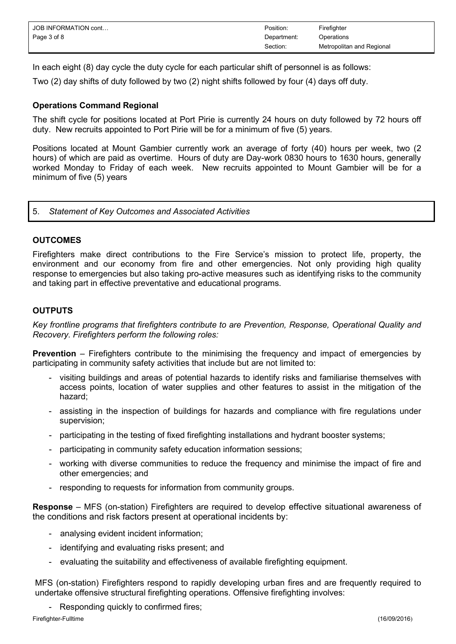| JOB INFORMATION cont | Position:   | Firefighter               |
|----------------------|-------------|---------------------------|
| Page 3 of 8          | Department: | Operations                |
|                      | Section:    | Metropolitan and Regional |

In each eight (8) day cycle the duty cycle for each particular shift of personnel is as follows:

Two (2) day shifts of duty followed by two (2) night shifts followed by four (4) days off duty.

# **Operations Command Regional**

The shift cycle for positions located at Port Pirie is currently 24 hours on duty followed by 72 hours off duty. New recruits appointed to Port Pirie will be for a minimum of five (5) years.

Positions located at Mount Gambier currently work an average of forty (40) hours per week, two (2 hours) of which are paid as overtime. Hours of duty are Day-work 0830 hours to 1630 hours, generally worked Monday to Friday of each week. New recruits appointed to Mount Gambier will be for a minimum of five (5) years

#### 5. *Statement of Key Outcomes and Associated Activities*

#### **OUTCOMES**

Firefighters make direct contributions to the Fire Service's mission to protect life, property, the environment and our economy from fire and other emergencies. Not only providing high quality response to emergencies but also taking pro-active measures such as identifying risks to the community and taking part in effective preventative and educational programs.

# **OUTPUTS**

*Key frontline programs that firefighters contribute to are Prevention, Response, Operational Quality and Recovery. Firefighters perform the following roles:*

**Prevention** – Firefighters contribute to the minimising the frequency and impact of emergencies by participating in community safety activities that include but are not limited to:

- visiting buildings and areas of potential hazards to identify risks and familiarise themselves with access points, location of water supplies and other features to assist in the mitigation of the hazard;
- assisting in the inspection of buildings for hazards and compliance with fire regulations under supervision;
- participating in the testing of fixed firefighting installations and hydrant booster systems;
- participating in community safety education information sessions;
- working with diverse communities to reduce the frequency and minimise the impact of fire and other emergencies; and
- responding to requests for information from community groups.

**Response** – MFS (on-station) Firefighters are required to develop effective situational awareness of the conditions and risk factors present at operational incidents by:

- analysing evident incident information;
- identifying and evaluating risks present; and
- evaluating the suitability and effectiveness of available firefighting equipment.

MFS (on-station) Firefighters respond to rapidly developing urban fires and are frequently required to undertake offensive structural firefighting operations. Offensive firefighting involves:

- Responding quickly to confirmed fires;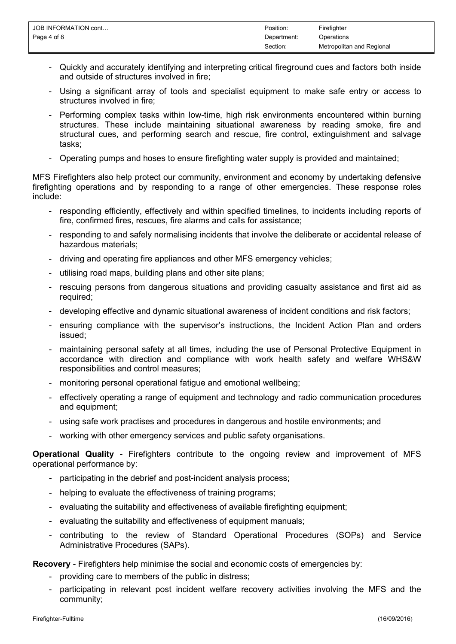- Quickly and accurately identifying and interpreting critical fireground cues and factors both inside and outside of structures involved in fire;
- Using a significant array of tools and specialist equipment to make safe entry or access to structures involved in fire;
- Performing complex tasks within low-time, high risk environments encountered within burning structures. These include maintaining situational awareness by reading smoke, fire and structural cues, and performing search and rescue, fire control, extinguishment and salvage tasks;
- Operating pumps and hoses to ensure firefighting water supply is provided and maintained;

MFS Firefighters also help protect our community, environment and economy by undertaking defensive firefighting operations and by responding to a range of other emergencies. These response roles include:

- responding efficiently, effectively and within specified timelines, to incidents including reports of fire, confirmed fires, rescues, fire alarms and calls for assistance;
- responding to and safely normalising incidents that involve the deliberate or accidental release of hazardous materials;
- driving and operating fire appliances and other MFS emergency vehicles;
- utilising road maps, building plans and other site plans;
- rescuing persons from dangerous situations and providing casualty assistance and first aid as required;
- developing effective and dynamic situational awareness of incident conditions and risk factors;
- ensuring compliance with the supervisor's instructions, the Incident Action Plan and orders issued;
- maintaining personal safety at all times, including the use of Personal Protective Equipment in accordance with direction and compliance with work health safety and welfare WHS&W responsibilities and control measures;
- monitoring personal operational fatigue and emotional wellbeing;
- effectively operating a range of equipment and technology and radio communication procedures and equipment;
- using safe work practises and procedures in dangerous and hostile environments; and
- working with other emergency services and public safety organisations.

**Operational Quality** - Firefighters contribute to the ongoing review and improvement of MFS operational performance by:

- participating in the debrief and post-incident analysis process;
- helping to evaluate the effectiveness of training programs;
- evaluating the suitability and effectiveness of available firefighting equipment;
- evaluating the suitability and effectiveness of equipment manuals;
- contributing to the review of Standard Operational Procedures (SOPs) and Service Administrative Procedures (SAPs).

**Recovery** - Firefighters help minimise the social and economic costs of emergencies by:

- providing care to members of the public in distress;
- participating in relevant post incident welfare recovery activities involving the MFS and the community;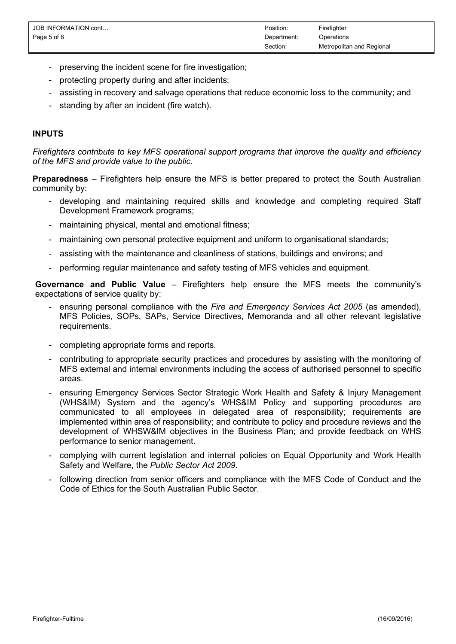| JOB INFORMATION cont | Position:   | Firefighter               |
|----------------------|-------------|---------------------------|
| Page 5 of 8          | Department: | Operations                |
|                      | Section:    | Metropolitan and Regional |

- preserving the incident scene for fire investigation;
- protecting property during and after incidents;
- assisting in recovery and salvage operations that reduce economic loss to the community; and
- standing by after an incident (fire watch).

#### **INPUTS**

*Firefighters contribute to key MFS operational support programs that improve the quality and efficiency of the MFS and provide value to the public.*

**Preparedness** – Firefighters help ensure the MFS is better prepared to protect the South Australian community by:

- developing and maintaining required skills and knowledge and completing required Staff Development Framework programs;
- maintaining physical, mental and emotional fitness;
- maintaining own personal protective equipment and uniform to organisational standards;
- assisting with the maintenance and cleanliness of stations, buildings and environs; and
- performing regular maintenance and safety testing of MFS vehicles and equipment.

**Governance and Public Value** – Firefighters help ensure the MFS meets the community's expectations of service quality by:

- ensuring personal compliance with the *Fire and Emergency Services Act 2005* (as amended), MFS Policies, SOPs, SAPs, Service Directives, Memoranda and all other relevant legislative requirements.
- completing appropriate forms and reports.
- contributing to appropriate security practices and procedures by assisting with the monitoring of MFS external and internal environments including the access of authorised personnel to specific areas.
- ensuring Emergency Services Sector Strategic Work Health and Safety & Injury Management (WHS&IM) System and the agency's WHS&IM Policy and supporting procedures are communicated to all employees in delegated area of responsibility; requirements are implemented within area of responsibility; and contribute to policy and procedure reviews and the development of WHSW&IM objectives in the Business Plan; and provide feedback on WHS performance to senior management.
- complying with current legislation and internal policies on Equal Opportunity and Work Health Safety and Welfare, the *Public Sector Act 2009*.
- following direction from senior officers and compliance with the MFS Code of Conduct and the Code of Ethics for the South Australian Public Sector.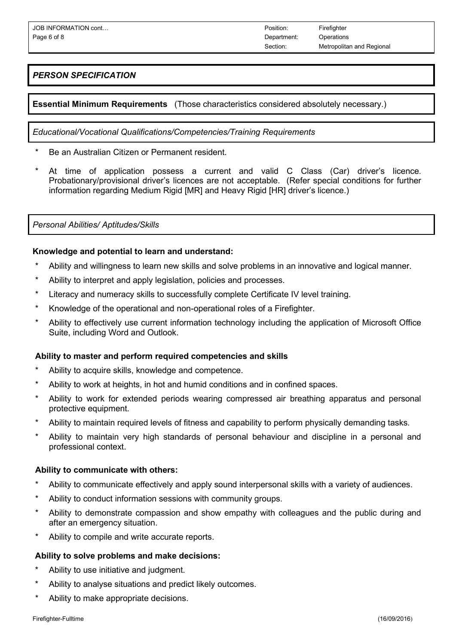*PERSON SPECIFICATION*

**Essential Minimum Requirements** (Those characteristics considered absolutely necessary.)

*Educational/Vocational Qualifications/Competencies/Training Requirements*

- Be an Australian Citizen or Permanent resident.
- At time of application possess a current and valid C Class (Car) driver's licence. Probationary/provisional driver's licences are not acceptable. (Refer special conditions for further information regarding Medium Rigid [MR] and Heavy Rigid [HR] driver's licence.)

*Personal Abilities/ Aptitudes/Skills*

#### **Knowledge and potential to learn and understand:**

- Ability and willingness to learn new skills and solve problems in an innovative and logical manner.
- Ability to interpret and apply legislation, policies and processes.
- Literacy and numeracy skills to successfully complete Certificate IV level training.
- Knowledge of the operational and non-operational roles of a Firefighter.
- Ability to effectively use current information technology including the application of Microsoft Office Suite, including Word and Outlook.

# **Ability to master and perform required competencies and skills**

- Ability to acquire skills, knowledge and competence.
- Ability to work at heights, in hot and humid conditions and in confined spaces.
- Ability to work for extended periods wearing compressed air breathing apparatus and personal protective equipment.
- Ability to maintain required levels of fitness and capability to perform physically demanding tasks.
- Ability to maintain very high standards of personal behaviour and discipline in a personal and professional context.

#### **Ability to communicate with others:**

- Ability to communicate effectively and apply sound interpersonal skills with a variety of audiences.
- Ability to conduct information sessions with community groups.
- Ability to demonstrate compassion and show empathy with colleagues and the public during and after an emergency situation.
- Ability to compile and write accurate reports.

# **Ability to solve problems and make decisions:**

- Ability to use initiative and judgment.
- Ability to analyse situations and predict likely outcomes.
- Ability to make appropriate decisions.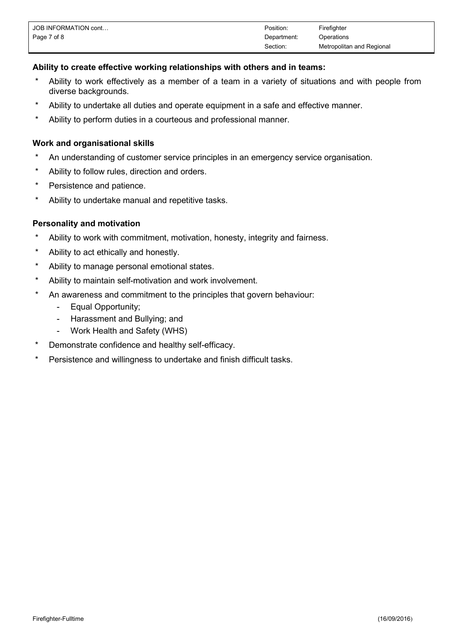| JOB INFORMATION cont | Position:   | Firefighter               |
|----------------------|-------------|---------------------------|
| Page 7 of 8          | Department: | Operations                |
|                      | Section:    | Metropolitan and Regional |

### **Ability to create effective working relationships with others and in teams:**

- Ability to work effectively as a member of a team in a variety of situations and with people from diverse backgrounds.
- \* Ability to undertake all duties and operate equipment in a safe and effective manner.
- Ability to perform duties in a courteous and professional manner.

#### **Work and organisational skills**

- \* An understanding of customer service principles in an emergency service organisation.
- \* Ability to follow rules, direction and orders.
- \* Persistence and patience.
- \* Ability to undertake manual and repetitive tasks.

#### **Personality and motivation**

- Ability to work with commitment, motivation, honesty, integrity and fairness.
- \* Ability to act ethically and honestly.
- \* Ability to manage personal emotional states.
- Ability to maintain self-motivation and work involvement.
- \* An awareness and commitment to the principles that govern behaviour:
	- Equal Opportunity;
	- Harassment and Bullying; and
	- Work Health and Safety (WHS)
- Demonstrate confidence and healthy self-efficacy.
- Persistence and willingness to undertake and finish difficult tasks.